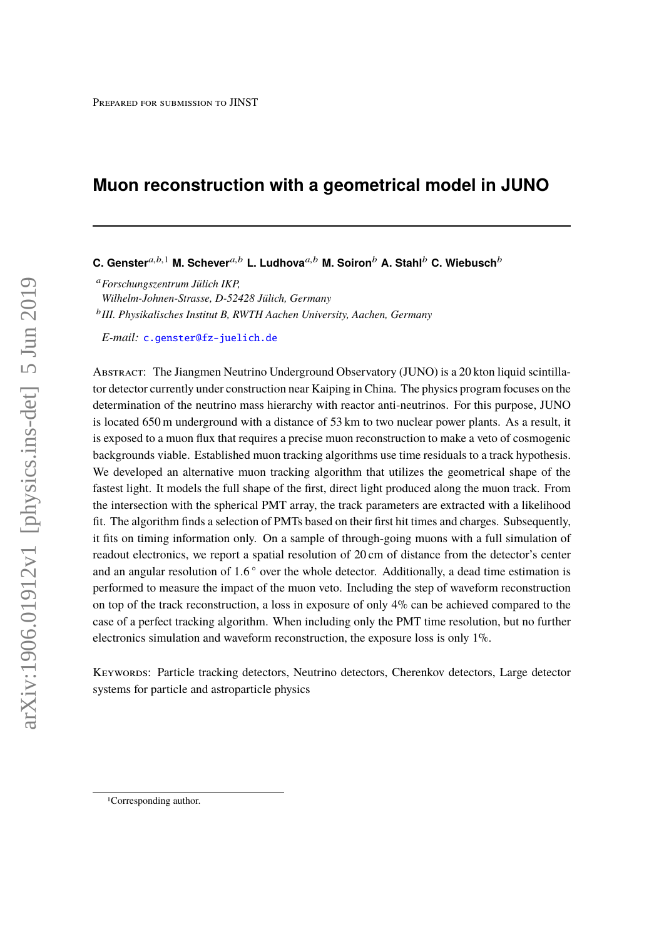# **Muon reconstruction with a geometrical model in JUNO**

# **C. Genster**<sup>a,b,1</sup> M. Schever<sup>a,b</sup> L. Ludhova<sup>a,b</sup> M. Soiron<sup>b</sup> A. Stahl<sup>b</sup> C. Wiebusch<sup>b</sup>

<sup>a</sup>*Forschungszentrum Jülich IKP,*

*Wilhelm-Johnen-Strasse, D-52428 Jülich, Germany*

b *III. Physikalisches Institut B, RWTH Aachen University, Aachen, Germany*

*E-mail:* [c.genster@fz-juelich.de](mailto:c.genster@fz-juelich.de)

Abstract: The Jiangmen Neutrino Underground Observatory (JUNO) is a 20 kton liquid scintillator detector currently under construction near Kaiping in China. The physics program focuses on the determination of the neutrino mass hierarchy with reactor anti-neutrinos. For this purpose, JUNO is located 650 m underground with a distance of 53 km to two nuclear power plants. As a result, it is exposed to a muon flux that requires a precise muon reconstruction to make a veto of cosmogenic backgrounds viable. Established muon tracking algorithms use time residuals to a track hypothesis. We developed an alternative muon tracking algorithm that utilizes the geometrical shape of the fastest light. It models the full shape of the first, direct light produced along the muon track. From the intersection with the spherical PMT array, the track parameters are extracted with a likelihood fit. The algorithm finds a selection of PMTs based on their first hit times and charges. Subsequently, it fits on timing information only. On a sample of through-going muons with a full simulation of readout electronics, we report a spatial resolution of 20 cm of distance from the detector's center and an angular resolution of 1.6° over the whole detector. Additionally, a dead time estimation is<br>neglector of the impact of the muon uses. Including the stap of weapons measurements performed to measure the impact of the muon veto. Including the step of waveform reconstruction on top of the track reconstruction, a loss in exposure of only 4% can be achieved compared to the case of a perfect tracking algorithm. When including only the PMT time resolution, but no further electronics simulation and waveform reconstruction, the exposure loss is only 1%.

Keywords: Particle tracking detectors, Neutrino detectors, Cherenkov detectors, Large detector systems for particle and astroparticle physics

<sup>1</sup>Corresponding author.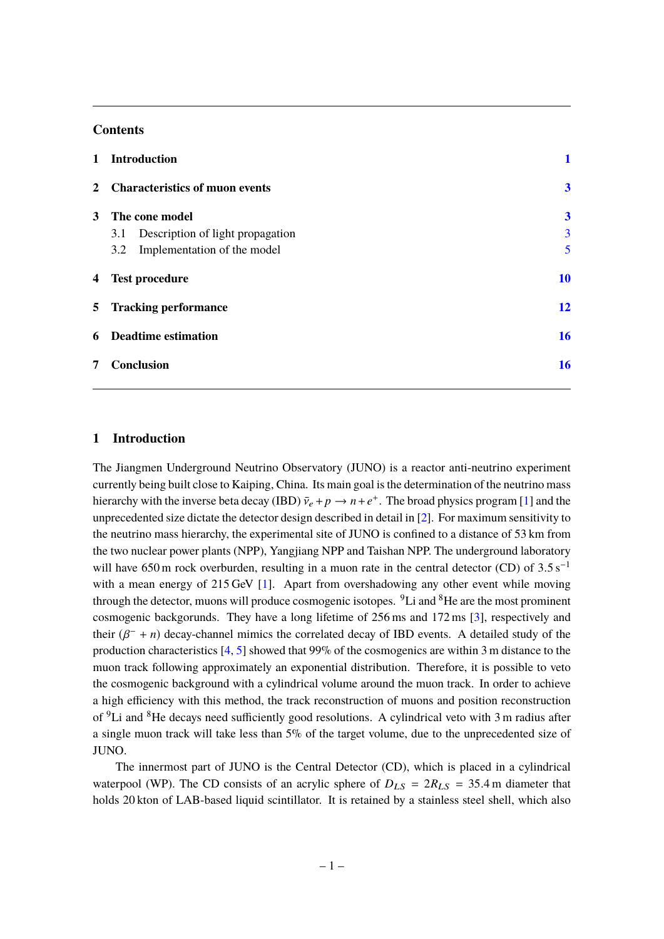# **Contents**

|   | 1 Introduction                       |                  |
|---|--------------------------------------|------------------|
|   | 2 Characteristics of muon events     | $\boldsymbol{3}$ |
| 3 | The cone model                       | $\boldsymbol{3}$ |
|   | 3.1 Description of light propagation | 3                |
|   | Implementation of the model<br>3.2   | 5                |
| 4 | <b>Test procedure</b>                | 10               |
|   | 5 Tracking performance               | 12               |
|   | <b>6</b> Deadtime estimation         | 16               |
| 7 | <b>Conclusion</b>                    | 16               |

# <span id="page-1-0"></span>**1 Introduction**

The Jiangmen Underground Neutrino Observatory (JUNO) is a reactor anti-neutrino experiment currently being built close to Kaiping, China. Its main goal is the determination of the neutrino mass hierarchy with the inverse beta decay (IBD)  $\bar{v}_e + p \rightarrow n + e^+$ . The broad physics program [\[1\]](#page-17-0) and the ungressed prior distant the detector decision decembed in detail in [2]. For maximum consituative to unprecedented size dictate the detector design described in detail in [\[2\]](#page-17-1). For maximum sensitivity to the neutrino mass hierarchy, the experimental site of JUNO is confined to a distance of 53 km from the two nuclear power plants (NPP), Yangjiang NPP and Taishan NPP. The underground laboratory will have 650 m rock overburden, resulting in a muon rate in the central detector (CD) of  $3.5 \text{ s}^{-1}$ with a mean energy of 215 GeV [\[1\]](#page-17-0). Apart from overshadowing any other event while moving through the detector, muons will produce cosmogenic isotopes.  $9$ Li and  $8$ He are the most prominent cosmogenic backgorunds. They have a long lifetime of 256 ms and 172 ms [\[3\]](#page-17-2), respectively and their  $(\beta^- + n)$  decay-channel mimics the correlated decay of IBD events. A detailed study of the neglection above the second that  $0.007$  of the correspondes are within 2 m distance to the production characteristics  $[4, 5]$  $[4, 5]$  $[4, 5]$  showed that 99% of the cosmogenics are within 3 m distance to the muon track following approximately an exponential distribution. Therefore, it is possible to veto the cosmogenic background with a cylindrical volume around the muon track. In order to achieve a high efficiency with this method, the track reconstruction of muons and position reconstruction of <sup>9</sup>Li and <sup>8</sup>He decays need sufficiently good resolutions. A cylindrical veto with 3 m radius after a single muon track will take less than 5% of the target volume, due to the unprecedented size of JUNO.

The innermost part of JUNO is the Central Detector (CD), which is placed in a cylindrical waterpool (WP). The CD consists of an acrylic sphere of  $D_{LS} = 2R_{LS} = 35.4$  m diameter that holds 20 kton of LAB-based liquid scintillator. It is retained by a stainless steel shell, which also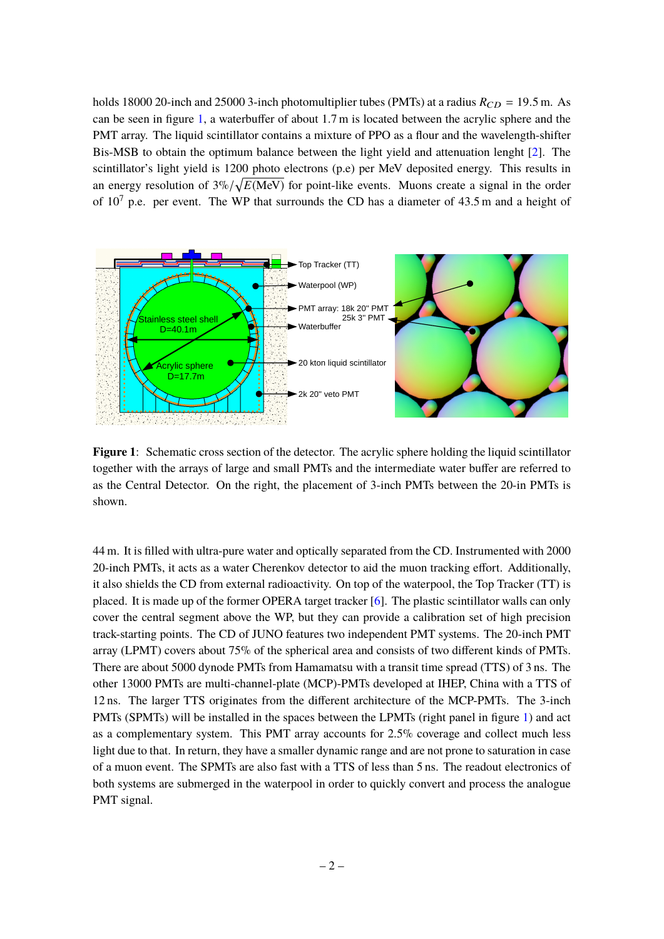holds 18000 20-inch and 25000 3-inch photomultiplier tubes (PMTs) at a radius  $R_{CD} = 19.5$  m. As can be seen in figure [1,](#page-2-0) a waterbuffer of about 1.7 m is located between the acrylic sphere and the PMT array. The liquid scintillator contains a mixture of PPO as a flour and the wavelength-shifter Bis-MSB to obtain the optimum balance between the light yield and attenuation lenght [\[2\]](#page-17-1). The scintillator's light yield is 1200 photo electrons (p.e) per MeV deposited energy. This results in an energy resolution of  $3\% / \sqrt{E(\text{MeV})}$  for point-like events. Muons create a signal in the order of  $10^7$  p.e. per event. The WP that surrounds the CD has a diameter of 43.5 m and a height of

<span id="page-2-0"></span>

**Figure 1**: Schematic cross section of the detector. The acrylic sphere holding the liquid scintillator together with the arrays of large and small PMTs and the intermediate water buffer are referred to as the Central Detector. On the right, the placement of 3-inch PMTs between the 20-in PMTs is shown.

44 m. It is filled with ultra-pure water and optically separated from the CD. Instrumented with 2000 20-inch PMTs, it acts as a water Cherenkov detector to aid the muon tracking effort. Additionally, it also shields the CD from external radioactivity. On top of the waterpool, the Top Tracker (TT) is placed. It is made up of the former OPERA target tracker [\[6\]](#page-18-2). The plastic scintillator walls can only cover the central segment above the WP, but they can provide a calibration set of high precision track-starting points. The CD of JUNO features two independent PMT systems. The 20-inch PMT array (LPMT) covers about 75% of the spherical area and consists of two different kinds of PMTs. There are about 5000 dynode PMTs from Hamamatsu with a transit time spread (TTS) of 3 ns. The other 13000 PMTs are multi-channel-plate (MCP)-PMTs developed at IHEP, China with a TTS of 12 ns. The larger TTS originates from the different architecture of the MCP-PMTs. The 3-inch PMTs (SPMTs) will be installed in the spaces between the LPMTs (right panel in figure [1\)](#page-2-0) and act as a complementary system. This PMT array accounts for 2.5% coverage and collect much less light due to that. In return, they have a smaller dynamic range and are not prone to saturation in case of a muon event. The SPMTs are also fast with a TTS of less than 5 ns. The readout electronics of both systems are submerged in the waterpool in order to quickly convert and process the analogue PMT signal.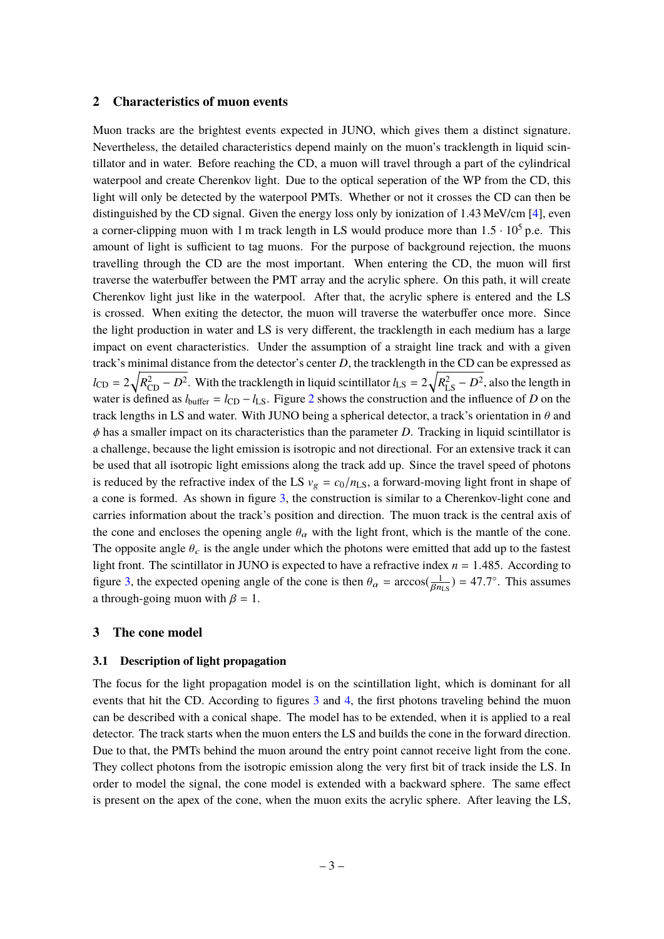#### <span id="page-3-0"></span>**2 Characteristics of muon events**

Muon tracks are the brightest events expected in JUNO, which gives them a distinct signature. Nevertheless, the detailed characteristics depend mainly on the muon's tracklength in liquid scintillator and in water. Before reaching the CD, a muon will travel through a part of the cylindrical waterpool and create Cherenkov light. Due to the optical seperation of the WP from the CD, this light will only be detected by the waterpool PMTs. Whether or not it crosses the CD can then be distinguished by the CD signal. Given the energy loss only by ionization of 1.43 MeV/cm [\[4\]](#page-18-0), even a corner-clipping muon with 1 m track length in LS would produce more than  $1.5 \cdot 10^5$  p.e. This amount of light is sufficient to tag muons. For the purpose of background rejection, the muons travelling through the CD are the most important. When entering the CD, the muon will first traverse the waterbuffer between the PMT array and the acrylic sphere. On this path, it will create Cherenkov light just like in the waterpool. After that, the acrylic sphere is entered and the LS is crossed. When exiting the detector, the muon will traverse the waterbuffer once more. Since the light production in water and LS is very different, the tracklength in each medium has a large impact on event characteristics. Under the assumption of a straight line track and with a given track's minimal distance from the detector's center *D*, the tracklength in the CD can be expressed as  $l_{\text{CD}} = 2\sqrt{R_{\text{CD}}^2 - D^2}$ . With the tracklength in liquid scintillator  $l_{\text{LS}} = 2\sqrt{R_{\text{LS}}^2 - D^2}$ , also the length in water is defined as  $l_{\text{buffer}} = l_{\text{CD}} - l_{\text{LS}}$ . Figure [2](#page-4-0) shows the construction and the influence of *D* on the track lengths in LS and water. With JUNO being a spherical detector, a track's orientation in  $\theta$  and  $\phi$  has a smaller impact on its characteristics than the parameter *D*. Tracking in liquid scintillator is a challenge, because the light emission is isotropic and not directional. For an extensive track it can be used that all isotropic light emissions along the track add up. Since the travel speed of photons is reduced by the refractive index of the LS  $v_g = c_0/n_{\text{LS}}$ , a forward-moving light front in shape of a cone is formed. As shown in figure [3,](#page-4-1) the construction is similar to a Cherenkov-light cone and carries information about the track's position and direction. The muon track is the central axis of the cone and encloses the opening angle  $\theta_{\alpha}$  with the light front, which is the mantle of the cone. The opposite angle  $\theta_c$  is the angle under which the photons were emitted that add up to the fastest light front. The scintillator in JUNO is expected to have a refractive index *<sup>n</sup>* <sup>=</sup> <sup>1</sup>.485. According to figure [3,](#page-4-1) the expected opening angle of the cone is then  $\theta_{\alpha} = \arccos(\frac{1}{\beta n_{LS}}) = 47.7^{\circ}$ . This assumes a through-going muon with  $\beta = 1$ .

### <span id="page-3-1"></span>**3 The cone model**

#### <span id="page-3-2"></span>**3.1 Description of light propagation**

The focus for the light propagation model is on the scintillation light, which is dominant for all events that hit the CD. According to figures [3](#page-4-1) and [4,](#page-5-1) the first photons traveling behind the muon can be described with a conical shape. The model has to be extended, when it is applied to a real detector. The track starts when the muon enters the LS and builds the cone in the forward direction. Due to that, the PMTs behind the muon around the entry point cannot receive light from the cone. They collect photons from the isotropic emission along the very first bit of track inside the LS. In order to model the signal, the cone model is extended with a backward sphere. The same effect is present on the apex of the cone, when the muon exits the acrylic sphere. After leaving the LS,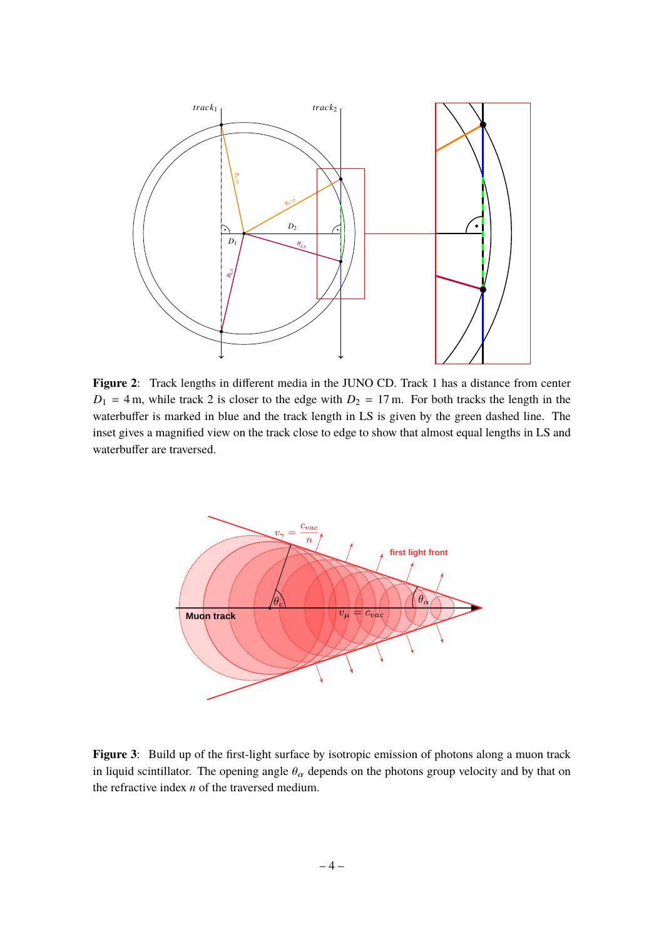<span id="page-4-0"></span>

**Figure 2**: Track lengths in different media in the JUNO CD. Track 1 has a distance from center  $D_1 = 4$  m, while track 2 is closer to the edge with  $D_2 = 17$  m. For both tracks the length in the waterbuffer is marked in blue and the track length in LS is given by the green dashed line. The inset gives a magnified view on the track close to edge to show that almost equal lengths in LS and waterbuffer are traversed.

<span id="page-4-1"></span>

**Figure 3**: Build up of the first-light surface by isotropic emission of photons along a muon track in liquid scintillator. The opening angle  $\theta_{\alpha}$  depends on the photons group velocity and by that on the refractive index *n* of the traversed medium.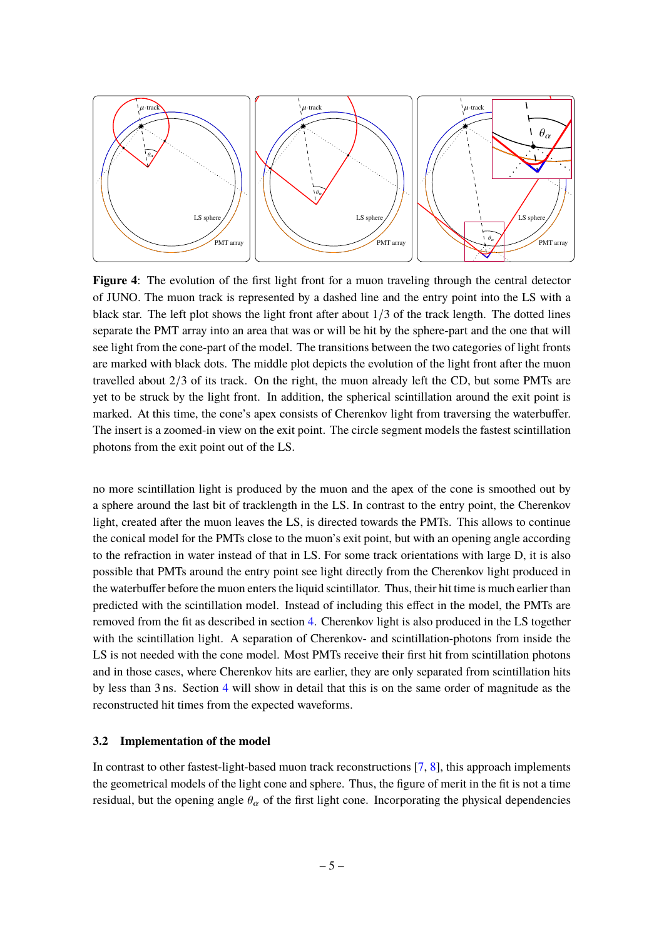<span id="page-5-1"></span>

**Figure 4**: The evolution of the first light front for a muon traveling through the central detector of JUNO. The muon track is represented by a dashed line and the entry point into the LS with a black star. The left plot shows the light front after about 1/3 of the track length. The dotted lines separate the PMT array into an area that was or will be hit by the sphere-part and the one that will see light from the cone-part of the model. The transitions between the two categories of light fronts are marked with black dots. The middle plot depicts the evolution of the light front after the muon travelled about  $2/3$  of its track. On the right, the muon already left the CD, but some PMTs are yet to be struck by the light front. In addition, the spherical scintillation around the exit point is marked. At this time, the cone's apex consists of Cherenkov light from traversing the waterbuffer. The insert is a zoomed-in view on the exit point. The circle segment models the fastest scintillation photons from the exit point out of the LS.

no more scintillation light is produced by the muon and the apex of the cone is smoothed out by a sphere around the last bit of tracklength in the LS. In contrast to the entry point, the Cherenkov light, created after the muon leaves the LS, is directed towards the PMTs. This allows to continue the conical model for the PMTs close to the muon's exit point, but with an opening angle according to the refraction in water instead of that in LS. For some track orientations with large D, it is also possible that PMTs around the entry point see light directly from the Cherenkov light produced in the waterbuffer before the muon enters the liquid scintillator. Thus, their hit time is much earlier than predicted with the scintillation model. Instead of including this effect in the model, the PMTs are removed from the fit as described in section [4.](#page-10-0) Cherenkov light is also produced in the LS together with the scintillation light. A separation of Cherenkov- and scintillation-photons from inside the LS is not needed with the cone model. Most PMTs receive their first hit from scintillation photons and in those cases, where Cherenkov hits are earlier, they are only separated from scintillation hits by less than 3 ns. Section [4](#page-10-0) will show in detail that this is on the same order of magnitude as the reconstructed hit times from the expected waveforms.

#### <span id="page-5-0"></span>**3.2 Implementation of the model**

In contrast to other fastest-light-based muon track reconstructions [\[7,](#page-18-3) [8\]](#page-18-4), this approach implements the geometrical models of the light cone and sphere. Thus, the figure of merit in the fit is not a time residual, but the opening angle  $\theta_{\alpha}$  of the first light cone. Incorporating the physical dependencies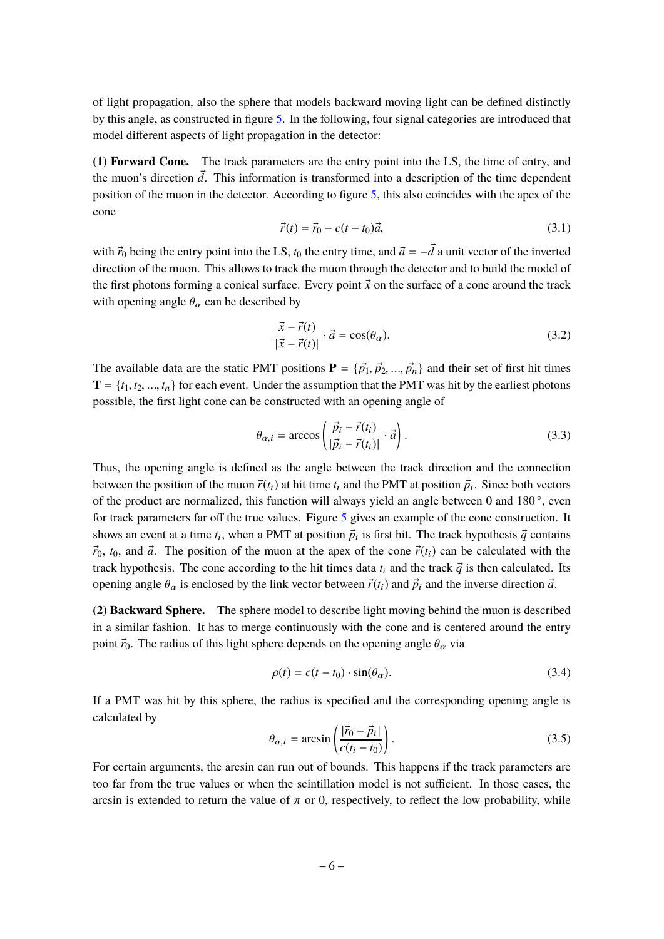of light propagation, also the sphere that models backward moving light can be defined distinctly by this angle, as constructed in figure [5.](#page-7-0) In the following, four signal categories are introduced that model different aspects of light propagation in the detector:

**(1) Forward Cone.** The track parameters are the entry point into the LS, the time of entry, and the muon's direction  $\vec{d}$ . This information is transformed into a description of the time dependent position of the muon in the detector. According to figure [5,](#page-7-0) this also coincides with the apex of the cone

$$
\vec{r}(t) = \vec{r}_0 - c(t - t_0)\vec{a},\tag{3.1}
$$

with  $\vec{r}_0$  being the entry point into the LS,  $t_0$  the entry time, and  $\vec{a} = -\vec{d}$  a unit vector of the inverted direction of the muon. This allows to track the muon through the detector and to build the model of the first photons forming a conical surface. Every point  $\vec{x}$  on the surface of a cone around the track with opening angle  $\theta_{\alpha}$  can be described by

$$
\frac{\vec{x} - \vec{r}(t)}{|\vec{x} - \vec{r}(t)|} \cdot \vec{a} = \cos(\theta_{\alpha}).
$$
\n(3.2)

The available data are the static PMT positions  $P = {\vec{p_1}, \vec{p_2}, ..., \vec{p_n}}$  and their set of first hit times  $\mathbf{T} = \{t_1, t_2, ..., t_n\}$  for each event. Under the assumption that the PMT was hit by the earliest photons possible, the first light cone can be constructed with an opening angle of

<span id="page-6-0"></span>
$$
\theta_{\alpha,i} = \arccos\left(\frac{\vec{p}_i - \vec{r}(t_i)}{|\vec{p}_i - \vec{r}(t_i)|} \cdot \vec{a}\right). \tag{3.3}
$$

Thus, the opening angle is defined as the angle between the track direction and the connection between the position of the muon  $\vec{r}(t_i)$  at hit time  $t_i$  and the PMT at position  $\vec{p}_i$ . Since both vectors of the product are normalized, this function will always yield an angle between 0 and 180°, even for track parameters far off the true values. Figure [5](#page-7-0) gives an example of the cone construction. It shows an event at a time  $t_i$ , when a PMT at position  $\vec{p}_i$  is first hit. The track hypothesis  $\vec{q}$  contains  $\vec{r}_0$ , *t*<sub>0</sub>, and  $\vec{a}$ . The position of the muon at the apex of the cone  $\vec{r}(t_i)$  can be calculated with the track hypothesis. The cone according to the hit times data  $t_i$  and the track  $\vec{q}$  is then calculated. Its opening angle  $\theta_{\alpha}$  is enclosed by the link vector between  $\vec{r}(t_i)$  and  $\vec{p}_i$  and the inverse direction  $\vec{a}$ .

**(2) Backward Sphere.** The sphere model to describe light moving behind the muon is described in a similar fashion. It has to merge continuously with the cone and is centered around the entry point  $\vec{r}_0$ . The radius of this light sphere depends on the opening angle  $\theta_{\alpha}$  via

$$
\rho(t) = c(t - t_0) \cdot \sin(\theta_\alpha). \tag{3.4}
$$

If a PMT was hit by this sphere, the radius is specified and the corresponding opening angle is calculated by

$$
\theta_{\alpha,i} = \arcsin\left(\frac{|\vec{r}_0 - \vec{p}_i|}{c(t_i - t_0)}\right). \tag{3.5}
$$

For certain arguments, the arcsin can run out of bounds. This happens if the track parameters are too far from the true values or when the scintillation model is not sufficient. In those cases, the arcsin is extended to return the value of  $\pi$  or 0, respectively, to reflect the low probability, while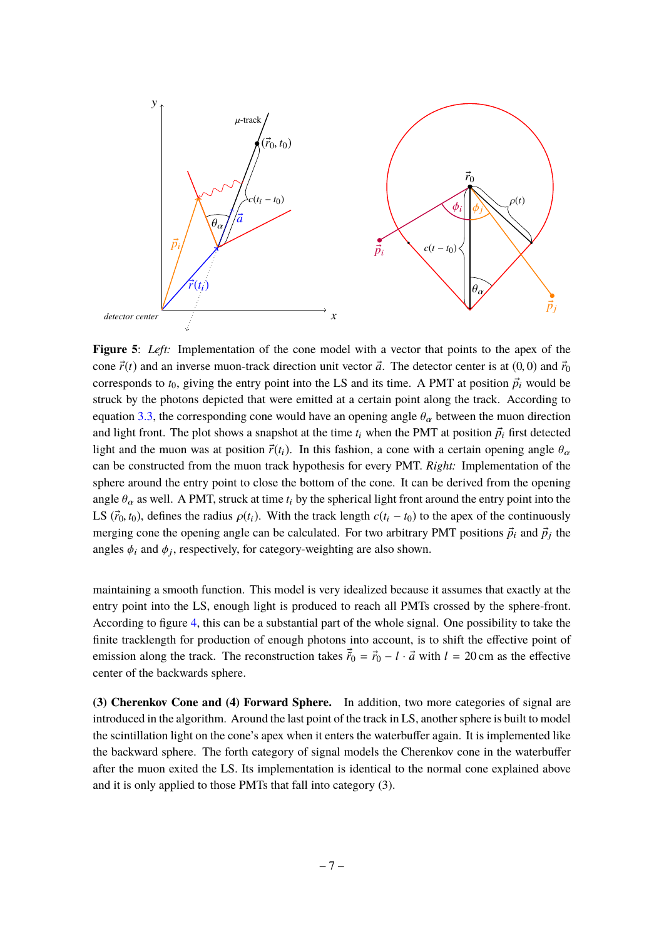<span id="page-7-0"></span>

**Figure 5**: *Left:* Implementation of the cone model with a vector that points to the apex of the cone  $\vec{r}(t)$  and an inverse muon-track direction unit vector  $\vec{a}$ . The detector center is at (0, 0) and  $\vec{r}_0$ corresponds to  $t_0$ , giving the entry point into the LS and its time. A PMT at position  $\vec{p}_i$  would be struck by the photons depicted that were emitted at a certain point along the track. According to equation [3.3,](#page-6-0) the corresponding cone would have an opening angle  $\theta_{\alpha}$  between the muon direction and light front. The plot shows a snapshot at the time  $t_i$  when the PMT at position  $\vec{p}_i$  first detected light and the muon was at position  $\vec{r}(t_i)$ . In this fashion, a cone with a certain opening angle  $\theta_{\alpha}$ can be constructed from the muon track hypothesis for every PMT. *Right:* Implementation of the sphere around the entry point to close the bottom of the cone. It can be derived from the opening angle  $\theta_{\alpha}$  as well. A PMT, struck at time  $t_i$  by the spherical light front around the entry point into the LS ( $\vec{r}_0$ , *t*<sub>0</sub>), defines the radius  $\rho(t_i)$ . With the track length  $c(t_i - t_0)$  to the apex of the continuously merging cone the opening angle can be calculated. For two arbitrary PMT positions  $\vec{p}_i$  and  $\vec{p}_j$  the angles  $\phi_i$  and  $\phi_j$ , respectively, for category-weighting are also shown.

maintaining a smooth function. This model is very idealized because it assumes that exactly at the entry point into the LS, enough light is produced to reach all PMTs crossed by the sphere-front. According to figure [4,](#page-5-1) this can be a substantial part of the whole signal. One possibility to take the finite tracklength for production of enough photons into account, is to shift the effective point of emission along the track. The reconstruction takes  $\vec{r}_0 = \vec{r}_0 - l \cdot \vec{a}$  with  $l = 20$  cm as the effective center of the backwards sphere.

**(3) Cherenkov Cone and (4) Forward Sphere.** In addition, two more categories of signal are introduced in the algorithm. Around the last point of the track in LS, another sphere is built to model the scintillation light on the cone's apex when it enters the waterbuffer again. It is implemented like the backward sphere. The forth category of signal models the Cherenkov cone in the waterbuffer after the muon exited the LS. Its implementation is identical to the normal cone explained above and it is only applied to those PMTs that fall into category (3).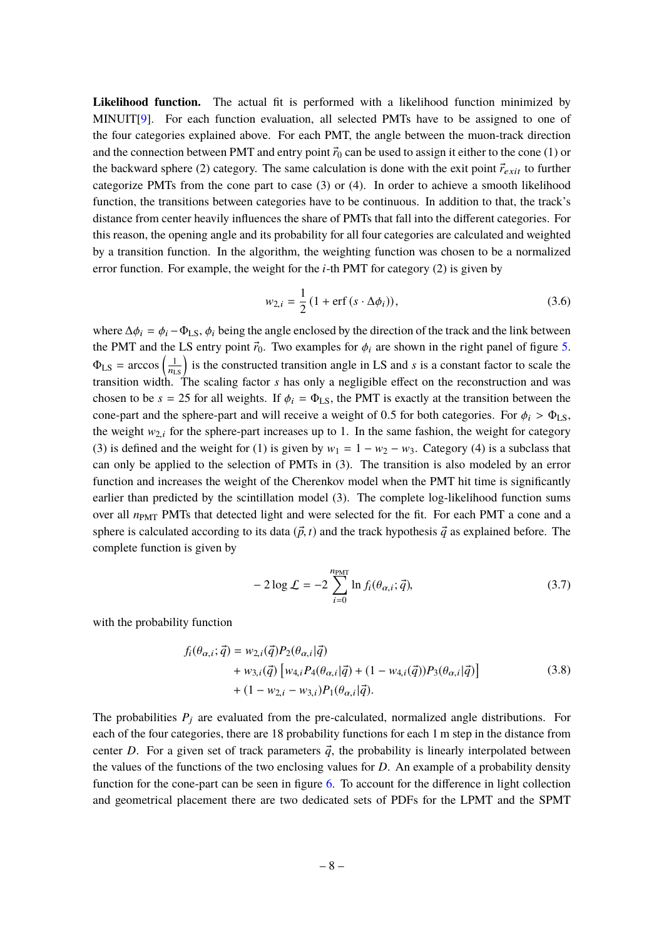<span id="page-8-0"></span>**Likelihood function.** The actual fit is performed with a likelihood function minimized by MINUIT[\[9\]](#page-18-5). For each function evaluation, all selected PMTs have to be assigned to one of the four categories explained above. For each PMT, the angle between the muon-track direction and the connection between PMT and entry point  $\vec{r}_0$  can be used to assign it either to the cone (1) or the backward sphere (2) category. The same calculation is done with the exit point  $\vec{r}_{exit}$  to further categorize PMTs from the cone part to case (3) or (4). In order to achieve a smooth likelihood function, the transitions between categories have to be continuous. In addition to that, the track's distance from center heavily influences the share of PMTs that fall into the different categories. For this reason, the opening angle and its probability for all four categories are calculated and weighted by a transition function. In the algorithm, the weighting function was chosen to be a normalized error function. For example, the weight for the *i*-th PMT for category (2) is given by

$$
w_{2,i} = \frac{1}{2} (1 + \text{erf}(s \cdot \Delta \phi_i)),
$$
 (3.6)

where  $\Delta\phi_i = \phi_i - \Phi_{LS}$ ,  $\phi_i$  being the angle enclosed by the direction of the track and the link between the PMT and the LS entry point  $\vec{r}_0$ . Two examples for  $\phi_i$  are shown in the right panel of figure [5.](#page-7-0)  $\Phi_{LS}$  = arccos  $\left(\frac{1}{n_{LS}}\right)$  is the constructed transition angle in LS and *s* is a constant factor to scale the transition width. The scaling factor *s* has only a negligible effect on the reconstruction and was chosen to be  $s = 25$  for all weights. If  $\phi_i = \Phi_{LS}$ , the PMT is exactly at the transition between the cone-part and the sphere-part and will receive a weight of 0.5 for both categories. For  $\phi_i > \Phi_{LS}$ , the weight  $w_{2,i}$  for the sphere-part increases up to 1. In the same fashion, the weight for category (3) is defined and the weight for (1) is given by  $w_1 = 1 - w_2 - w_3$ . Category (4) is a subclass that can only be applied to the selection of PMTs in (3). The transition is also modeled by an error function and increases the weight of the Cherenkov model when the PMT hit time is significantly earlier than predicted by the scintillation model (3). The complete log-likelihood function sums over all *n*<sub>PMT</sub> PMTs that detected light and were selected for the fit. For each PMT a cone and a sphere is calculated according to its data  $(\vec{p}, t)$  and the track hypothesis  $\vec{q}$  as explained before. The complete function is given by

$$
-2\log\mathcal{L} = -2\sum_{i=0}^{n_{\text{PMT}}} \ln f_i(\theta_{\alpha,i};\vec{q}),\tag{3.7}
$$

with the probability function

$$
f_i(\theta_{\alpha,i};\vec{q}) = w_{2,i}(\vec{q})P_2(\theta_{\alpha,i}|\vec{q}) + w_{3,i}(\vec{q})\left[w_{4,i}P_4(\theta_{\alpha,i}|\vec{q}) + (1 - w_{4,i}(\vec{q}))P_3(\theta_{\alpha,i}|\vec{q})\right] + (1 - w_{2,i} - w_{3,i})P_1(\theta_{\alpha,i}|\vec{q}).
$$
\n(3.8)

The probabilities  $P_j$  are evaluated from the pre-calculated, normalized angle distributions. For each of the four categories, there are 18 probability functions for each 1 m step in the distance from center *D*. For a given set of track parameters  $\vec{q}$ , the probability is linearly interpolated between the values of the functions of the two enclosing values for *D*. An example of a probability density function for the cone-part can be seen in figure [6.](#page-9-0) To account for the difference in light collection and geometrical placement there are two dedicated sets of PDFs for the LPMT and the SPMT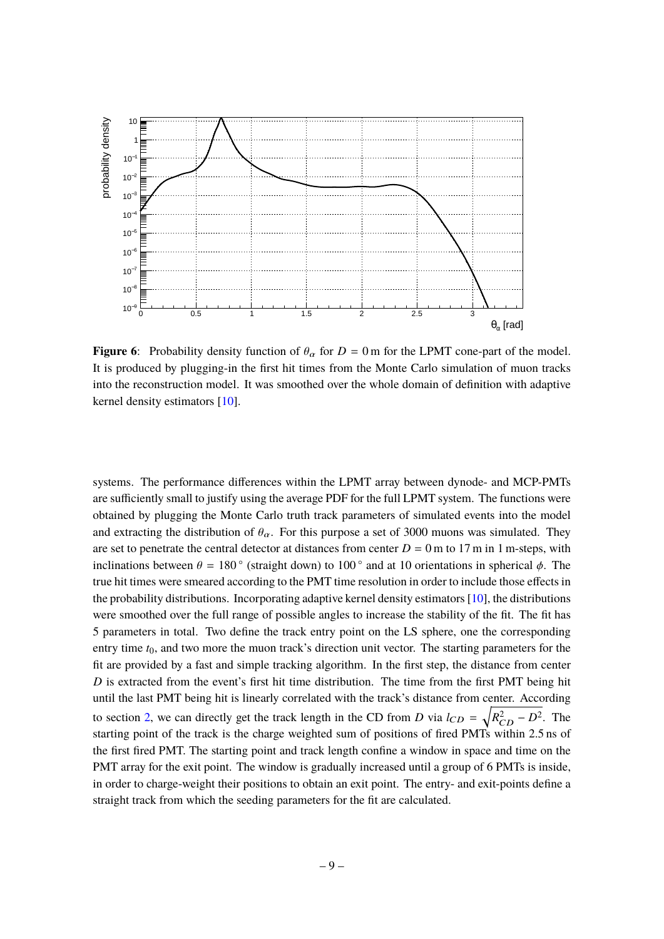<span id="page-9-0"></span>

**Figure 6:** Probability density function of  $\theta_{\alpha}$  for  $D = 0$  m for the LPMT cone-part of the model. It is produced by plugging-in the first hit times from the Monte Carlo simulation of muon tracks into the reconstruction model. It was smoothed over the whole domain of definition with adaptive kernel density estimators [\[10\]](#page-18-6).

systems. The performance differences within the LPMT array between dynode- and MCP-PMTs are sufficiently small to justify using the average PDF for the full LPMT system. The functions were obtained by plugging the Monte Carlo truth track parameters of simulated events into the model and extracting the distribution of  $\theta_{\alpha}$ . For this purpose a set of 3000 muons was simulated. They are set to penetrate the central detector at distances from center  $D = 0$  m to 17 m in 1 m-steps, with inclinations between  $\theta = 180^\circ$  (straight down) to  $100^\circ$  and at 10 orientations in spherical  $\phi$ . The true hit times were smeared according to the PMT time resolution in order to include those effects in the probability distributions. Incorporating adaptive kernel density estimators [\[10\]](#page-18-6), the distributions were smoothed over the full range of possible angles to increase the stability of the fit. The fit has 5 parameters in total. Two define the track entry point on the LS sphere, one the corresponding entry time  $t_0$ , and two more the muon track's direction unit vector. The starting parameters for the fit are provided by a fast and simple tracking algorithm. In the first step, the distance from center *D* is extracted from the event's first hit time distribution. The time from the first PMT being hit until the last PMT being hit is linearly correlated with the track's distance from center. According to section [2,](#page-3-0) we can directly get the track length in the CD from *D* via  $l_{CD} = \sqrt{R_{CD}^2 - D^2}$ . The starting point of the track is the charge weighted sum of positions of fired PMTs within 2.5 ns of the first fired PMT. The starting point and track length confine a window in space and time on the PMT array for the exit point. The window is gradually increased until a group of 6 PMTs is inside, in order to charge-weight their positions to obtain an exit point. The entry- and exit-points define a straight track from which the seeding parameters for the fit are calculated.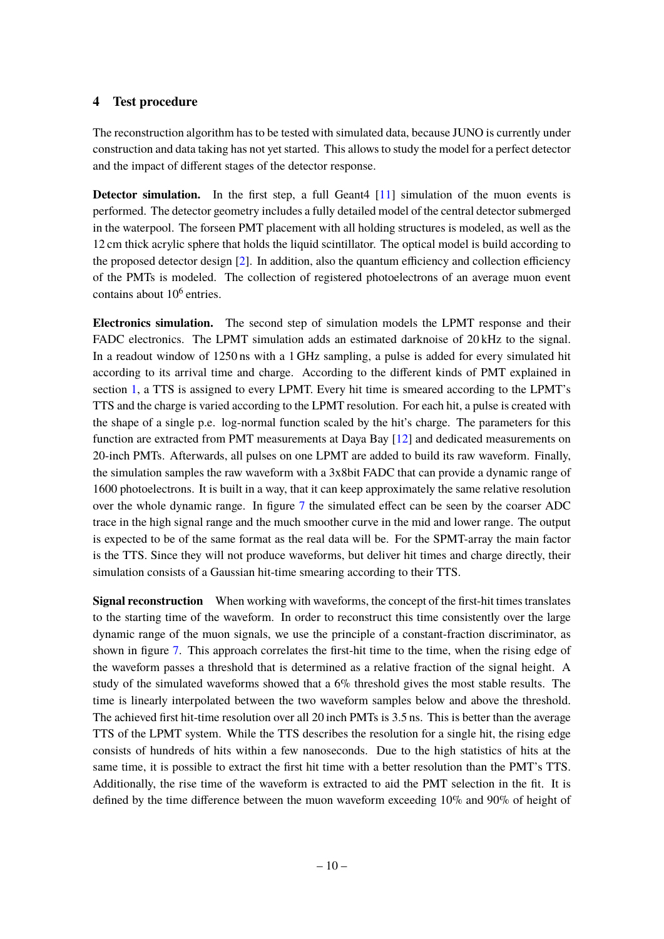# <span id="page-10-0"></span>**4 Test procedure**

The reconstruction algorithm has to be tested with simulated data, because JUNO is currently under construction and data taking has not yet started. This allows to study the model for a perfect detector and the impact of different stages of the detector response.

**Detector simulation.** In the first step, a full Geant4 [\[11\]](#page-18-7) simulation of the muon events is performed. The detector geometry includes a fully detailed model of the central detector submerged in the waterpool. The forseen PMT placement with all holding structures is modeled, as well as the 12 cm thick acrylic sphere that holds the liquid scintillator. The optical model is build according to the proposed detector design [\[2\]](#page-17-1). In addition, also the quantum efficiency and collection efficiency of the PMTs is modeled. The collection of registered photoelectrons of an average muon event contains about 10<sup>6</sup> entries.

**Electronics simulation.** The second step of simulation models the LPMT response and their FADC electronics. The LPMT simulation adds an estimated darknoise of 20 kHz to the signal. In a readout window of 1250 ns with a 1 GHz sampling, a pulse is added for every simulated hit according to its arrival time and charge. According to the different kinds of PMT explained in section [1,](#page-1-0) a TTS is assigned to every LPMT. Every hit time is smeared according to the LPMT's TTS and the charge is varied according to the LPMT resolution. For each hit, a pulse is created with the shape of a single p.e. log-normal function scaled by the hit's charge. The parameters for this function are extracted from PMT measurements at Daya Bay [\[12\]](#page-18-8) and dedicated measurements on 20-inch PMTs. Afterwards, all pulses on one LPMT are added to build its raw waveform. Finally, the simulation samples the raw waveform with a 3x8bit FADC that can provide a dynamic range of 1600 photoelectrons. It is built in a way, that it can keep approximately the same relative resolution over the whole dynamic range. In figure [7](#page-11-0) the simulated effect can be seen by the coarser ADC trace in the high signal range and the much smoother curve in the mid and lower range. The output is expected to be of the same format as the real data will be. For the SPMT-array the main factor is the TTS. Since they will not produce waveforms, but deliver hit times and charge directly, their simulation consists of a Gaussian hit-time smearing according to their TTS.

**Signal reconstruction** When working with waveforms, the concept of the first-hit times translates to the starting time of the waveform. In order to reconstruct this time consistently over the large dynamic range of the muon signals, we use the principle of a constant-fraction discriminator, as shown in figure [7.](#page-11-0) This approach correlates the first-hit time to the time, when the rising edge of the waveform passes a threshold that is determined as a relative fraction of the signal height. A study of the simulated waveforms showed that a  $6\%$  threshold gives the most stable results. The time is linearly interpolated between the two waveform samples below and above the threshold. The achieved first hit-time resolution over all 20 inch PMTs is 3.5 ns. This is better than the average TTS of the LPMT system. While the TTS describes the resolution for a single hit, the rising edge consists of hundreds of hits within a few nanoseconds. Due to the high statistics of hits at the same time, it is possible to extract the first hit time with a better resolution than the PMT's TTS. Additionally, the rise time of the waveform is extracted to aid the PMT selection in the fit. It is defined by the time difference between the muon waveform exceeding 10% and 90% of height of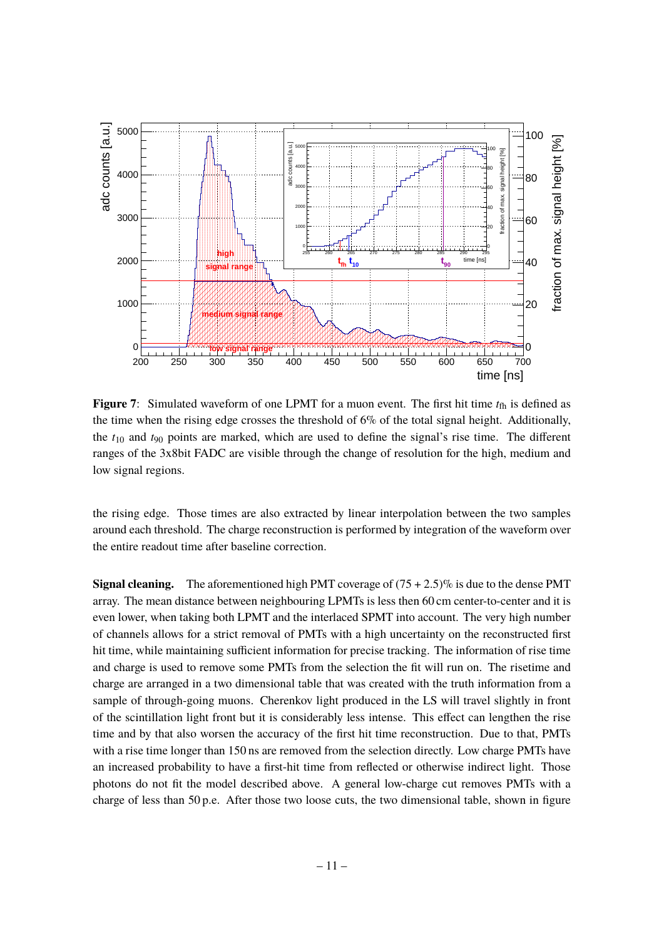<span id="page-11-0"></span>

**Figure 7:** Simulated waveform of one LPMT for a muon event. The first hit time  $t_{\text{fh}}$  is defined as the time when the rising edge crosses the threshold of 6% of the total signal height. Additionally, the  $t_{10}$  and  $t_{90}$  points are marked, which are used to define the signal's rise time. The different ranges of the 3x8bit FADC are visible through the change of resolution for the high, medium and low signal regions.

the rising edge. Those times are also extracted by linear interpolation between the two samples around each threshold. The charge reconstruction is performed by integration of the waveform over the entire readout time after baseline correction.

**Signal cleaning.** The aforementioned high PMT coverage of  $(75 + 2.5)\%$  is due to the dense PMT array. The mean distance between neighbouring LPMTs is less then 60 cm center-to-center and it is even lower, when taking both LPMT and the interlaced SPMT into account. The very high number of channels allows for a strict removal of PMTs with a high uncertainty on the reconstructed first hit time, while maintaining sufficient information for precise tracking. The information of rise time and charge is used to remove some PMTs from the selection the fit will run on. The risetime and charge are arranged in a two dimensional table that was created with the truth information from a sample of through-going muons. Cherenkov light produced in the LS will travel slightly in front of the scintillation light front but it is considerably less intense. This effect can lengthen the rise time and by that also worsen the accuracy of the first hit time reconstruction. Due to that, PMTs with a rise time longer than 150 ns are removed from the selection directly. Low charge PMTs have an increased probability to have a first-hit time from reflected or otherwise indirect light. Those photons do not fit the model described above. A general low-charge cut removes PMTs with a charge of less than 50 p.e. After those two loose cuts, the two dimensional table, shown in figure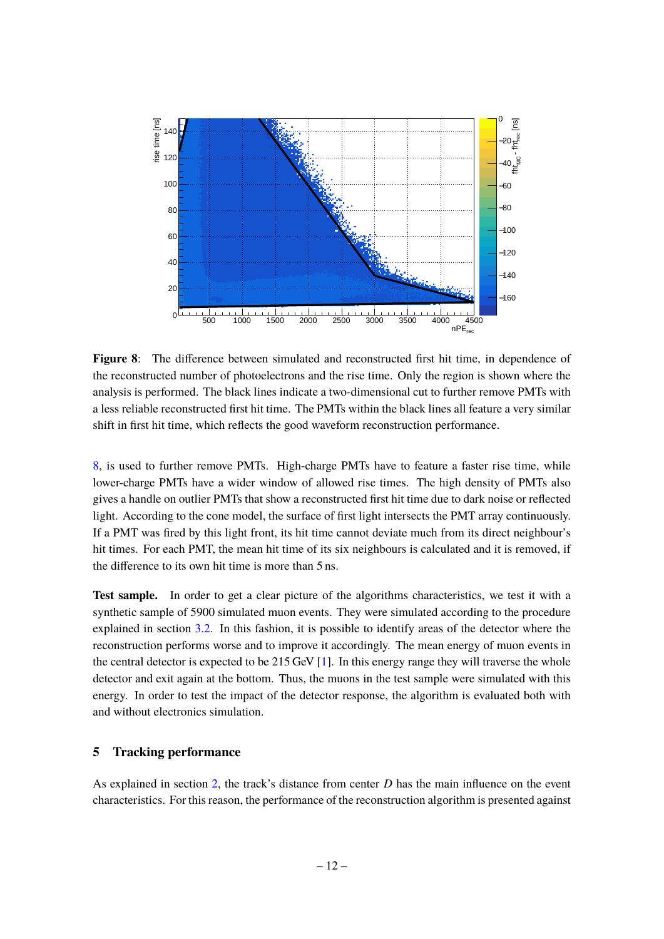<span id="page-12-1"></span>

**Figure 8**: The difference between simulated and reconstructed first hit time, in dependence of the reconstructed number of photoelectrons and the rise time. Only the region is shown where the analysis is performed. The black lines indicate a two-dimensional cut to further remove PMTs with a less reliable reconstructed first hit time. The PMTs within the black lines all feature a very similar shift in first hit time, which reflects the good waveform reconstruction performance.

[8,](#page-12-1) is used to further remove PMTs. High-charge PMTs have to feature a faster rise time, while lower-charge PMTs have a wider window of allowed rise times. The high density of PMTs also gives a handle on outlier PMTs that show a reconstructed first hit time due to dark noise or reflected light. According to the cone model, the surface of first light intersects the PMT array continuously. If a PMT was fired by this light front, its hit time cannot deviate much from its direct neighbour's hit times. For each PMT, the mean hit time of its six neighbours is calculated and it is removed, if the difference to its own hit time is more than 5 ns.

Test sample. In order to get a clear picture of the algorithms characteristics, we test it with a synthetic sample of 5900 simulated muon events. They were simulated according to the procedure explained in section [3.2.](#page-8-0) In this fashion, it is possible to identify areas of the detector where the reconstruction performs worse and to improve it accordingly. The mean energy of muon events in the central detector is expected to be 215 GeV [\[1\]](#page-17-0). In this energy range they will traverse the whole detector and exit again at the bottom. Thus, the muons in the test sample were simulated with this energy. In order to test the impact of the detector response, the algorithm is evaluated both with and without electronics simulation.

# <span id="page-12-0"></span>**5 Tracking performance**

As explained in section [2,](#page-3-0) the track's distance from center *D* has the main influence on the event characteristics. For this reason, the performance of the reconstruction algorithm is presented against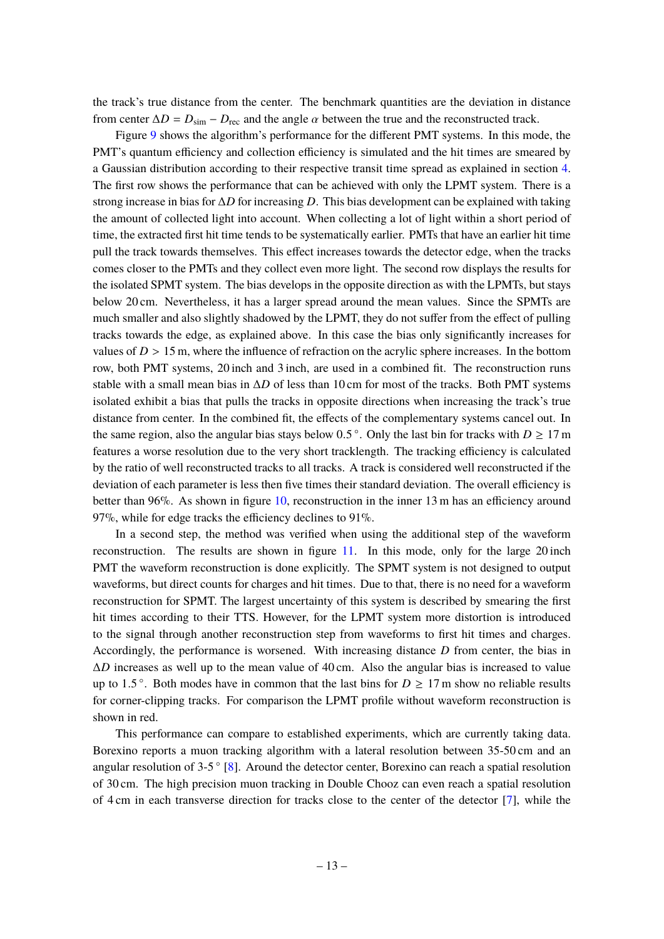the track's true distance from the center. The benchmark quantities are the deviation in distance from center  $\Delta D = D_{\text{sim}} - D_{\text{rec}}$  and the angle  $\alpha$  between the true and the reconstructed track.

Figure [9](#page-14-0) shows the algorithm's performance for the different PMT systems. In this mode, the PMT's quantum efficiency and collection efficiency is simulated and the hit times are smeared by a Gaussian distribution according to their respective transit time spread as explained in section [4.](#page-10-0) The first row shows the performance that can be achieved with only the LPMT system. There is a strong increase in bias for ∆*D* for increasing *D*. This bias development can be explained with taking the amount of collected light into account. When collecting a lot of light within a short period of time, the extracted first hit time tends to be systematically earlier. PMTs that have an earlier hit time pull the track towards themselves. This effect increases towards the detector edge, when the tracks comes closer to the PMTs and they collect even more light. The second row displays the results for the isolated SPMT system. The bias develops in the opposite direction as with the LPMTs, but stays below 20 cm. Nevertheless, it has a larger spread around the mean values. Since the SPMTs are much smaller and also slightly shadowed by the LPMT, they do not suffer from the effect of pulling tracks towards the edge, as explained above. In this case the bias only significantly increases for values of  $D > 15$  m, where the influence of refraction on the acrylic sphere increases. In the bottom row, both PMT systems, 20 inch and 3 inch, are used in a combined fit. The reconstruction runs stable with a small mean bias in ∆*D* of less than 10 cm for most of the tracks. Both PMT systems isolated exhibit a bias that pulls the tracks in opposite directions when increasing the track's true distance from center. In the combined fit, the effects of the complementary systems cancel out. In the same region, also the angular bias stays below  $0.5^{\circ}$ . Only the last bin for tracks with  $D \ge 17$  m<br>features a wage resolution due to the year short tracklangth. The tracking efficiency is soluted features a worse resolution due to the very short tracklength. The tracking efficiency is calculated by the ratio of well reconstructed tracks to all tracks. A track is considered well reconstructed if the deviation of each parameter is less then five times their standard deviation. The overall efficiency is better than 96%. As shown in figure [10,](#page-15-0) reconstruction in the inner 13 m has an efficiency around 97%, while for edge tracks the efficiency declines to 91%.

In a second step, the method was verified when using the additional step of the waveform reconstruction. The results are shown in figure [11.](#page-15-1) In this mode, only for the large 20 inch PMT the waveform reconstruction is done explicitly. The SPMT system is not designed to output waveforms, but direct counts for charges and hit times. Due to that, there is no need for a waveform reconstruction for SPMT. The largest uncertainty of this system is described by smearing the first hit times according to their TTS. However, for the LPMT system more distortion is introduced to the signal through another reconstruction step from waveforms to first hit times and charges. Accordingly, the performance is worsened. With increasing distance *D* from center, the bias in ∆*D* increases as well up to the mean value of 40 cm. Also the angular bias is increased to value up to 1.5°. Both modes have in common that the last bins for  $D \ge 17$  m show no reliable results<br>for comparation tracks. For comparison the LPMT profile without waveform reconstruction is for corner-clipping tracks. For comparison the LPMT profile without waveform reconstruction is shown in red.

This performance can compare to established experiments, which are currently taking data. Borexino reports a muon tracking algorithm with a lateral resolution between 35-50 cm and an angular resolution of 3-5° [\[8\]](#page-18-4). Around the detector center, Borexino can reach a spatial resolution of 30 cm. The high precision muon tracking in Double Chooz can even reach a spatial resolution of 4 cm in each transverse direction for tracks close to the center of the detector [\[7\]](#page-18-3), while the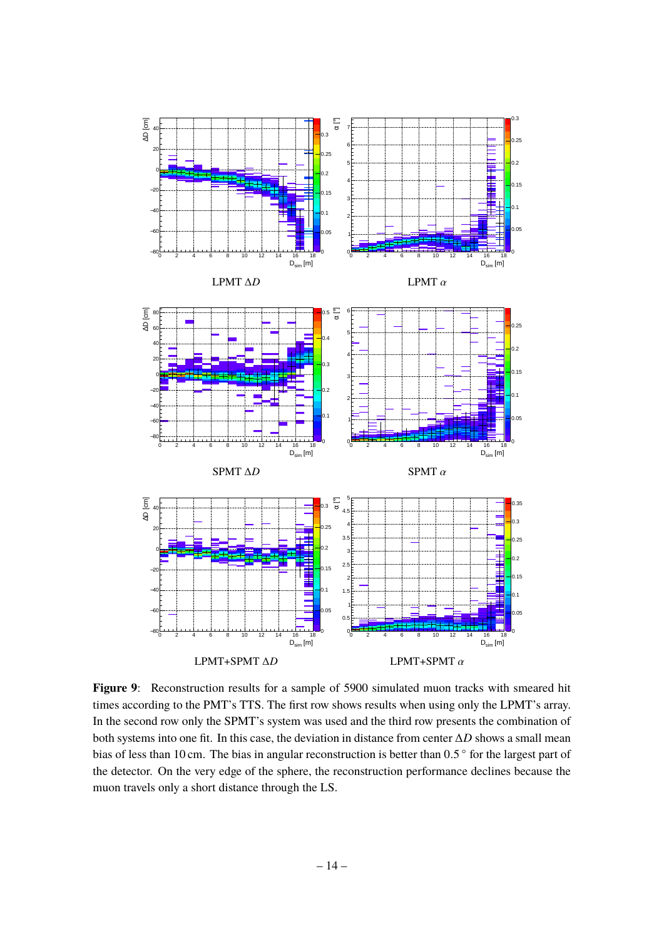<span id="page-14-0"></span>

**Figure 9**: Reconstruction results for a sample of 5900 simulated muon tracks with smeared hit times according to the PMT's TTS. The first row shows results when using only the LPMT's array. In the second row only the SPMT's system was used and the third row presents the combination of both systems into one fit. In this case, the deviation in distance from center ∆*D* shows a small mean bias of less than 10 cm. The bias in angular reconstruction is better than  $0.5^{\circ}$  for the largest part of the detector. On the vary odge of the enhance the reconstruction performance declines because the the detector. On the very edge of the sphere, the reconstruction performance declines because the muon travels only a short distance through the LS.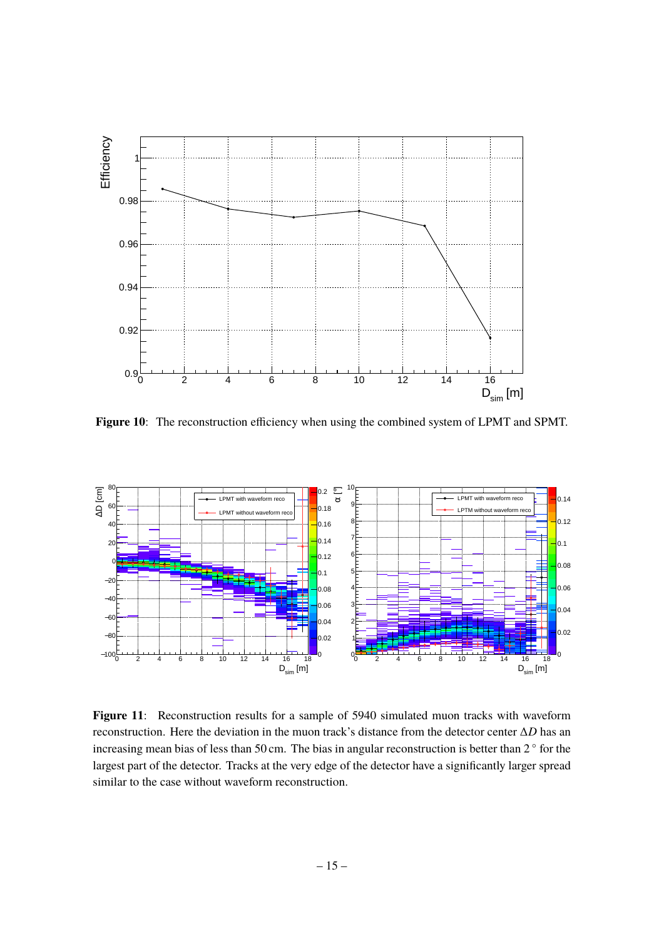<span id="page-15-0"></span>

**Figure 10**: The reconstruction efficiency when using the combined system of LPMT and SPMT.

<span id="page-15-1"></span>

Figure 11: Reconstruction results for a sample of 5940 simulated muon tracks with waveform reconstruction. Here the deviation in the muon track's distance from the detector center ∆*D* has an increasing mean bias of less than 50 cm. The bias in angular reconstruction is better than 2 $^{\circ}$  for the largest part of the detector. Tracks at the very edge of the detector have a significantly larger spread similar to the case without waveform reconstruction.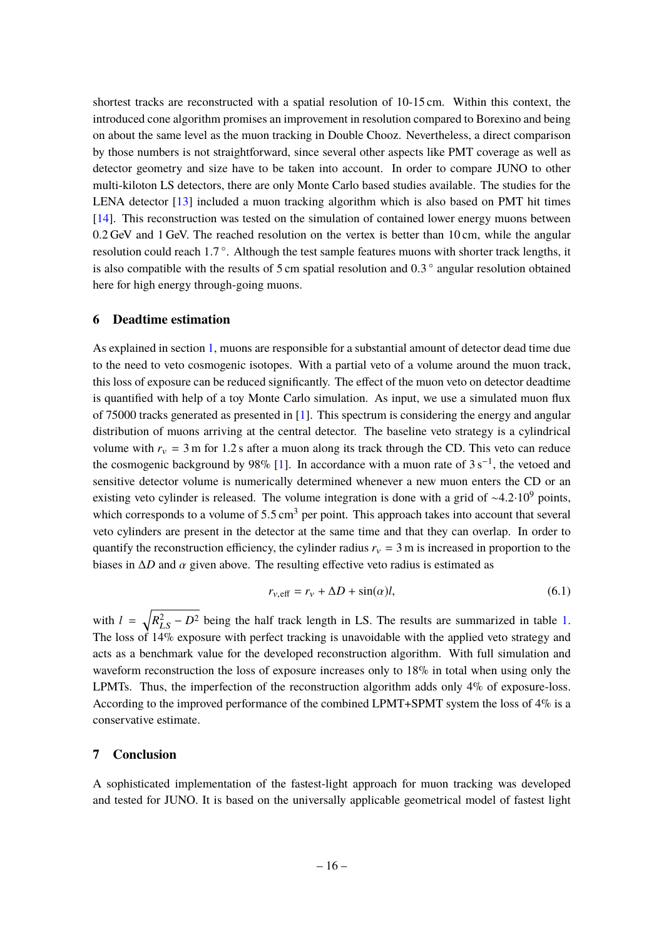shortest tracks are reconstructed with a spatial resolution of 10-15 cm. Within this context, the introduced cone algorithm promises an improvement in resolution compared to Borexino and being on about the same level as the muon tracking in Double Chooz. Nevertheless, a direct comparison by those numbers is not straightforward, since several other aspects like PMT coverage as well as detector geometry and size have to be taken into account. In order to compare JUNO to other multi-kiloton LS detectors, there are only Monte Carlo based studies available. The studies for the LENA detector [\[13\]](#page-18-9) included a muon tracking algorithm which is also based on PMT hit times [\[14\]](#page-18-10). This reconstruction was tested on the simulation of contained lower energy muons between 0.2 GeV and 1 GeV. The reached resolution on the vertex is better than 10 cm, while the angular resolution could reach 1.7°. Although the test sample features muons with shorter track lengths, it<br>is also compatible with the results of 5 cm spatial resolution and 0.3° appular resolution obtained is also compatible with the results of  $5 \text{ cm}$  spatial resolution and  $0.3^\circ$  angular resolution obtained<br>here for high energy through gaing muons. here for high energy through-going muons.

## <span id="page-16-0"></span>**6 Deadtime estimation**

As explained in section [1,](#page-1-0) muons are responsible for a substantial amount of detector dead time due to the need to veto cosmogenic isotopes. With a partial veto of a volume around the muon track, this loss of exposure can be reduced significantly. The effect of the muon veto on detector deadtime is quantified with help of a toy Monte Carlo simulation. As input, we use a simulated muon flux of 75000 tracks generated as presented in [\[1\]](#page-17-0). This spectrum is considering the energy and angular distribution of muons arriving at the central detector. The baseline veto strategy is a cylindrical volume with  $r_v = 3$  m for 1.2 s after a muon along its track through the CD. This veto can reduce the cosmogenic background by 98% [\[1\]](#page-17-0). In accordance with a muon rate of  $3 s<sup>-1</sup>$ , the vetoed and sensitive detector volume is numerically determined whenever a new muon enters the CD or an existing veto cylinder is released. The volume integration is done with a grid of  $\sim$ 4.2·10<sup>9</sup> points, which corresponds to a volume of  $5.5 \text{ cm}^3$  per point. This approach takes into account that several veto cylinders are present in the detector at the same time and that they can overlap. In order to quantify the reconstruction efficiency, the cylinder radius  $r<sub>v</sub> = 3$  m is increased in proportion to the biases in  $\Delta D$  and  $\alpha$  given above. The resulting effective veto radius is estimated as

$$
r_{v, \text{eff}} = r_v + \Delta D + \sin(\alpha)l, \tag{6.1}
$$

with  $l = \sqrt{R_{LS}^2 - D^2}$  being the half track length in LS. The results are summarized in table [1.](#page-17-3) The loss of 14% exposure with perfect tracking is unavoidable with the applied veto strategy and acts as a benchmark value for the developed reconstruction algorithm. With full simulation and waveform reconstruction the loss of exposure increases only to 18% in total when using only the LPMTs. Thus, the imperfection of the reconstruction algorithm adds only 4% of exposure-loss. According to the improved performance of the combined LPMT+SPMT system the loss of 4% is a conservative estimate.

### <span id="page-16-1"></span>**7 Conclusion**

A sophisticated implementation of the fastest-light approach for muon tracking was developed and tested for JUNO. It is based on the universally applicable geometrical model of fastest light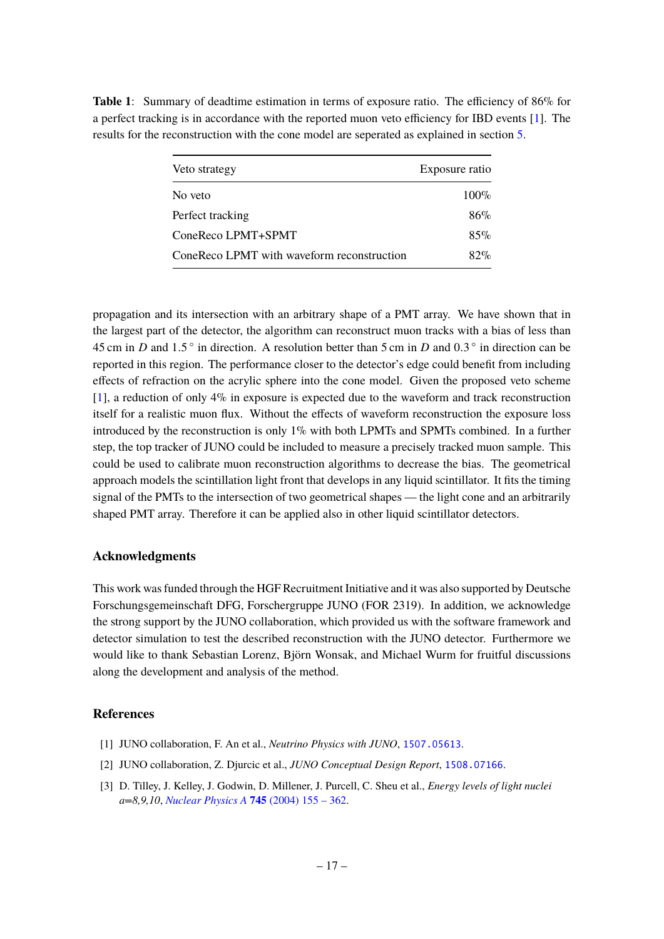<span id="page-17-3"></span>**Table 1**: Summary of deadtime estimation in terms of exposure ratio. The efficiency of 86% for a perfect tracking is in accordance with the reported muon veto efficiency for IBD events [\[1\]](#page-17-0). The results for the reconstruction with the cone model are seperated as explained in section [5.](#page-12-0)

| Veto strategy                              | Exposure ratio |
|--------------------------------------------|----------------|
| No veto                                    | $100\%$        |
| Perfect tracking                           | 86%            |
| ConeReco LPMT+SPMT                         | 85%            |
| ConeReco LPMT with waveform reconstruction | 82%            |

propagation and its intersection with an arbitrary shape of a PMT array. We have shown that in the largest part of the detector, the algorithm can reconstruct muon tracks with a bias of less than 45 cm in *D* and 1.5 $\degree$  in direction. A resolution better than 5 cm in *D* and 0.3 $\degree$  in direction can be reported in this region. The nonformance algoen to the detector's adge aculd hangfu from including reported in this region. The performance closer to the detector's edge could benefit from including effects of refraction on the acrylic sphere into the cone model. Given the proposed veto scheme [\[1\]](#page-17-0), a reduction of only 4% in exposure is expected due to the waveform and track reconstruction itself for a realistic muon flux. Without the effects of waveform reconstruction the exposure loss introduced by the reconstruction is only 1% with both LPMTs and SPMTs combined. In a further step, the top tracker of JUNO could be included to measure a precisely tracked muon sample. This could be used to calibrate muon reconstruction algorithms to decrease the bias. The geometrical approach models the scintillation light front that develops in any liquid scintillator. It fits the timing signal of the PMTs to the intersection of two geometrical shapes — the light cone and an arbitrarily shaped PMT array. Therefore it can be applied also in other liquid scintillator detectors.

## **Acknowledgments**

This work was funded through the HGF Recruitment Initiative and it was also supported by Deutsche Forschungsgemeinschaft DFG, Forschergruppe JUNO (FOR 2319). In addition, we acknowledge the strong support by the JUNO collaboration, which provided us with the software framework and detector simulation to test the described reconstruction with the JUNO detector. Furthermore we would like to thank Sebastian Lorenz, Björn Wonsak, and Michael Wurm for fruitful discussions along the development and analysis of the method.

## **References**

- <span id="page-17-0"></span>[1] JUNO collaboration, F. An et al., *Neutrino Physics with JUNO*, [1507.05613](https://arxiv.org/abs/1507.05613).
- <span id="page-17-1"></span>[2] JUNO collaboration, Z. Djurcic et al., *JUNO Conceptual Design Report*, [1508.07166](https://arxiv.org/abs/1508.07166).
- <span id="page-17-2"></span>[3] D. Tilley, J. Kelley, J. Godwin, D. Millener, J. Purcell, C. Sheu et al., *Energy levels of light nuclei a=8,9,10*, *[Nuclear Physics A](http://dx.doi.org/http://dx.doi.org/10.1016/j.nuclphysa.2004.09.059)* **745** (2004) 155 – 362.